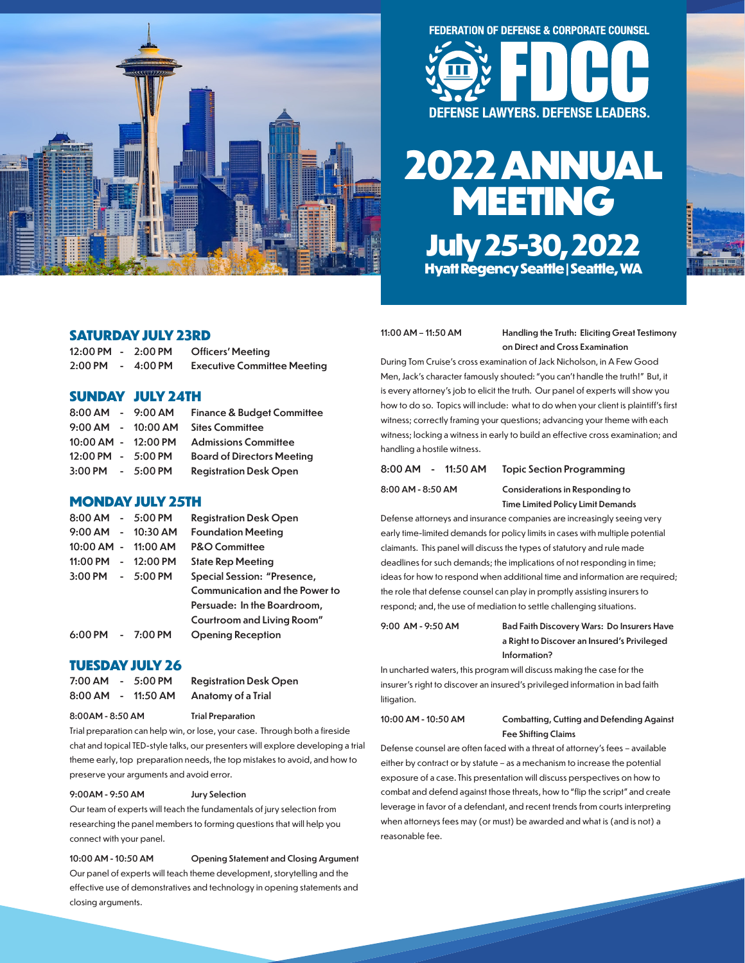

# **FEDERATION OF DEFENSE & CORPORATE COUNSEL**



# **2022 ANNUAL MEETING July 25-30, 2022 Hyatt Regency Seattle | Seattle, WA**

# **SATURDAY JULY 23RD**

| $12:00 \, \text{PM}$ - | $2:00$ PM         | <b>Officers' Meeting</b>           |
|------------------------|-------------------|------------------------------------|
| $2:00$ PM              | $4:00 \text{ PM}$ | <b>Executive Committee Meeting</b> |

# **SUNDAY JULY 24TH**

|                     | 8:00 AM - 9:00 AM      | <b>Finance &amp; Budget Committee</b> |
|---------------------|------------------------|---------------------------------------|
|                     | $9:00$ AM - $10:00$ AM | <b>Sites Committee</b>                |
| 10:00 AM - 12:00 PM |                        | <b>Admissions Committee</b>           |
| 12:00 PM - 5:00 PM  |                        | <b>Board of Directors Meeting</b>     |
| 3:00 PM - 5:00 PM   |                        | <b>Registration Desk Open</b>         |

# **MONDAY JULY 25TH**

| 8:00 AM - 5:00 PM   |                     | <b>Registration Desk Open</b>  |
|---------------------|---------------------|--------------------------------|
|                     | 9:00 AM - 10:30 AM  | <b>Foundation Meeting</b>      |
| 10:00 AM - 11:00 AM |                     | <b>P&amp;O Committee</b>       |
|                     | 11:00 PM - 12:00 PM | <b>State Rep Meeting</b>       |
| 3:00 PM - 5:00 PM   |                     | Special Session: "Presence,    |
|                     |                     | Communication and the Power to |
|                     |                     | Persuade: In the Boardroom,    |
|                     |                     | Courtroom and Living Room"     |
| 6:00 PM - 7:00 PM   |                     | <b>Opening Reception</b>       |

# **TUESDAY JULY 26**

| 7:00 AM - | $5:00$ PM | <b>Registration Desk Open</b> |
|-----------|-----------|-------------------------------|
| 8:00 AM - | 11:50 AM  | Anatomy of a Trial            |

8:00AM - 8:50 AM Trial Preparation

Trial preparation can help win, or lose, your case. Through both a fireside chat and topical TED-style talks, our presenters will explore developing a trial theme early, top preparation needs, the top mistakes to avoid, and how to preserve your arguments and avoid error.

### 9:00AM - 9:50 AM Jury Selection

Our team of experts will teach the fundamentals of jury selection from researching the panel members to forming questions that will help you connect with your panel.

10:00 AM - 10:50 AM Opening Statement and Closing Argument Our panel of experts will teach theme development, storytelling and the effective use of demonstratives and technology in opening statements and closing arguments.

### 11:00 AM – 11:50 AM Handling the Truth: Eliciting Great Testimony on Direct and Cross Examination

During Tom Cruise's cross examination of Jack Nicholson, in A Few Good Men, Jack's character famously shouted: "you can't handle the truth!" But, it is every attorney's job to elicit the truth. Our panel of experts will show you how to do so. Topics will include: what to do when your client is plaintiff's first witness; correctly framing your questions; advancing your theme with each witness; locking a witness in early to build an effective cross examination; and handling a hostile witness.

# 8:00 AM - 11:50 AM Topic Section Programming

8:00 AM - 8:50 AM Considerations in Responding to Time Limited Policy Limit Demands

Defense attorneys and insurance companies are increasingly seeing very early time-limited demands for policy limits in cases with multiple potential claimants. This panel will discuss the types of statutory and rule made deadlines for such demands; the implications of not responding in time; ideas for how to respond when additional time and information are required; the role that defense counsel can play in promptly assisting insurers to respond; and, the use of mediation to settle challenging situations.

9:00 AM - 9:50 AM Bad Faith Discovery Wars: Do Insurers Have a Right to Discover an Insured's Privileged Information?

In uncharted waters, this program will discuss making the case for the insurer's right to discover an insured's privileged information in bad faith litigation.

### 10:00 AM - 10:50 AM Combatting, Cutting and Defending Against Fee Shifting Claims

Defense counsel are often faced with a threat of attorney's fees – available either by contract or by statute – as a mechanism to increase the potential exposure of a case. This presentation will discuss perspectives on how to combat and defend against those threats, how to "flip the script" and create leverage in favor of a defendant, and recent trends from courts interpreting when attorneys fees may (or must) be awarded and what is (and is not) a reasonable fee.